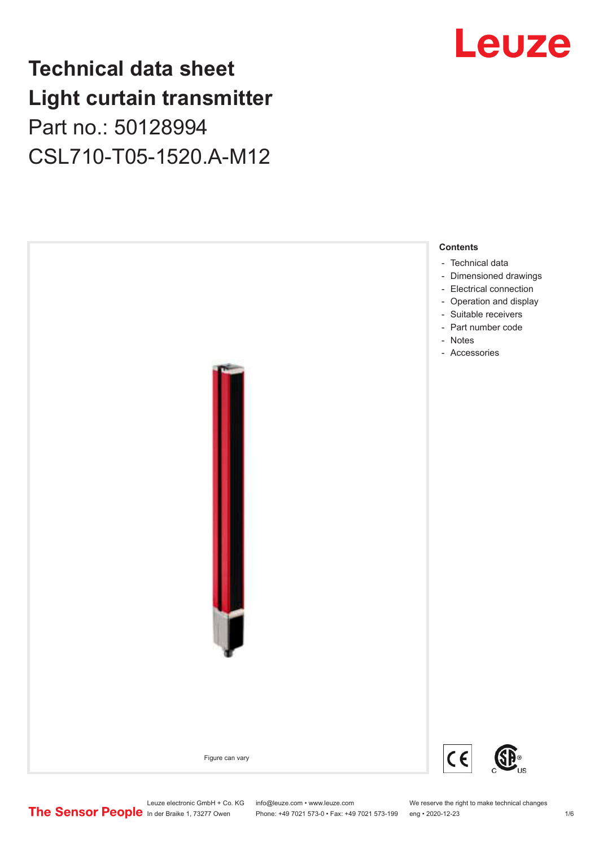## **Technical data sheet Light curtain transmitter** Part no.: 50128994 CSL710-T05-1520.A-M12



## Leuze

Leuze electronic GmbH + Co. KG info@leuze.com • www.leuze.com We reserve the right to make technical changes<br>
The Sensor People in der Braike 1, 73277 Owen Phone: +49 7021 573-0 • Fax: +49 7021 573-199 eng • 2020-12-23

Phone: +49 7021 573-0 • Fax: +49 7021 573-199 eng • 2020-12-23 1 76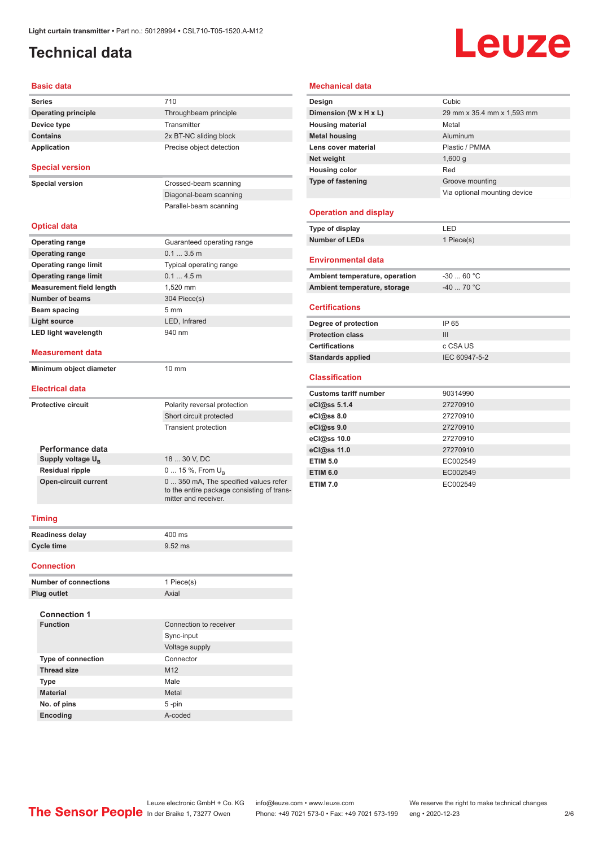## <span id="page-1-0"></span>**Technical data**

## Leuze

### **Basic data**

| <b>Series</b>                   | 710                                                                                                         |  |  |  |
|---------------------------------|-------------------------------------------------------------------------------------------------------------|--|--|--|
| <b>Operating principle</b>      | Throughbeam principle                                                                                       |  |  |  |
| Device type                     | Transmitter                                                                                                 |  |  |  |
| <b>Contains</b>                 | 2x BT-NC sliding block                                                                                      |  |  |  |
| Application                     | Precise object detection                                                                                    |  |  |  |
| <b>Special version</b>          |                                                                                                             |  |  |  |
| <b>Special version</b>          | Crossed-beam scanning                                                                                       |  |  |  |
|                                 | Diagonal-beam scanning                                                                                      |  |  |  |
|                                 | Parallel-beam scanning                                                                                      |  |  |  |
| <b>Optical data</b>             |                                                                                                             |  |  |  |
| <b>Operating range</b>          | Guaranteed operating range                                                                                  |  |  |  |
| <b>Operating range</b>          | 0.13.5m                                                                                                     |  |  |  |
| <b>Operating range limit</b>    | Typical operating range                                                                                     |  |  |  |
| <b>Operating range limit</b>    | 0.14.5m                                                                                                     |  |  |  |
| <b>Measurement field length</b> | 1,520 mm                                                                                                    |  |  |  |
| <b>Number of beams</b>          | 304 Piece(s)                                                                                                |  |  |  |
| Beam spacing<br>5 <sub>mm</sub> |                                                                                                             |  |  |  |
| <b>Light source</b>             | LED, Infrared                                                                                               |  |  |  |
| <b>LED light wavelength</b>     | 940 nm                                                                                                      |  |  |  |
| <b>Measurement data</b>         |                                                                                                             |  |  |  |
| Minimum object diameter         | 10 mm                                                                                                       |  |  |  |
| <b>Electrical data</b>          |                                                                                                             |  |  |  |
| <b>Protective circuit</b>       | Polarity reversal protection                                                                                |  |  |  |
|                                 | Short circuit protected                                                                                     |  |  |  |
|                                 | <b>Transient protection</b>                                                                                 |  |  |  |
| Performance data                |                                                                                                             |  |  |  |
| Supply voltage U <sub>B</sub>   | 18  30 V, DC                                                                                                |  |  |  |
| <b>Residual ripple</b>          | 0  15 %, From $U_{\rm B}$                                                                                   |  |  |  |
| <b>Open-circuit current</b>     | 0  350 mA, The specified values refer<br>to the entire package consisting of trans-<br>mitter and receiver. |  |  |  |
| <b>Timing</b>                   |                                                                                                             |  |  |  |
| <b>Readiness delay</b>          | 400 ms                                                                                                      |  |  |  |
| <b>Cycle time</b>               | $9.52$ ms                                                                                                   |  |  |  |
| <b>Connection</b>               |                                                                                                             |  |  |  |
|                                 |                                                                                                             |  |  |  |

| <b>Number of connections</b> | 1 Piece(s)             |
|------------------------------|------------------------|
| <b>Plug outlet</b>           | Axial                  |
|                              |                        |
| <b>Connection 1</b>          |                        |
| <b>Function</b>              | Connection to receiver |
|                              | Sync-input             |
|                              | Voltage supply         |
| <b>Type of connection</b>    | Connector              |
| <b>Thread size</b>           | M <sub>12</sub>        |
| <b>Type</b>                  | Male                   |
| <b>Material</b>              | Metal                  |
| No. of pins                  | $5 - pin$              |
| Encoding                     | A-coded                |

### **Mechanical data**

| Design                       | Cubic                        |
|------------------------------|------------------------------|
| Dimension (W x H x L)        | 29 mm x 35.4 mm x 1,593 mm   |
| <b>Housing material</b>      | Metal                        |
| <b>Metal housing</b>         | Aluminum                     |
| Lens cover material          | Plastic / PMMA               |
| Net weight                   | 1,600q                       |
| <b>Housing color</b>         | Red                          |
| <b>Type of fastening</b>     | Groove mounting              |
|                              | Via optional mounting device |
|                              |                              |
| <b>Operation and display</b> |                              |
|                              |                              |

| Type of display       | I FD       |
|-----------------------|------------|
| <b>Number of LEDs</b> | 1 Piece(s) |
|                       |            |

#### **Environmental data**

| Ambient temperature, operation | -30  60 °C                       |
|--------------------------------|----------------------------------|
| Ambient temperature, storage   | $-40$ 70 $^{\circ}$ C $^{\circ}$ |

### **Certifications**

| Degree of protection     | IP 65         |
|--------------------------|---------------|
| <b>Protection class</b>  | Ш             |
| <b>Certifications</b>    | c CSA US      |
| <b>Standards applied</b> | IEC 60947-5-2 |

### **Classification**

| <b>Customs tariff number</b> | 90314990 |
|------------------------------|----------|
| eCl@ss 5.1.4                 | 27270910 |
| eCl@ss 8.0                   | 27270910 |
| eCl@ss 9.0                   | 27270910 |
| eCl@ss 10.0                  | 27270910 |
| eCl@ss 11.0                  | 27270910 |
| <b>ETIM 5.0</b>              | EC002549 |
| <b>ETIM 6.0</b>              | EC002549 |
| <b>ETIM 7.0</b>              | EC002549 |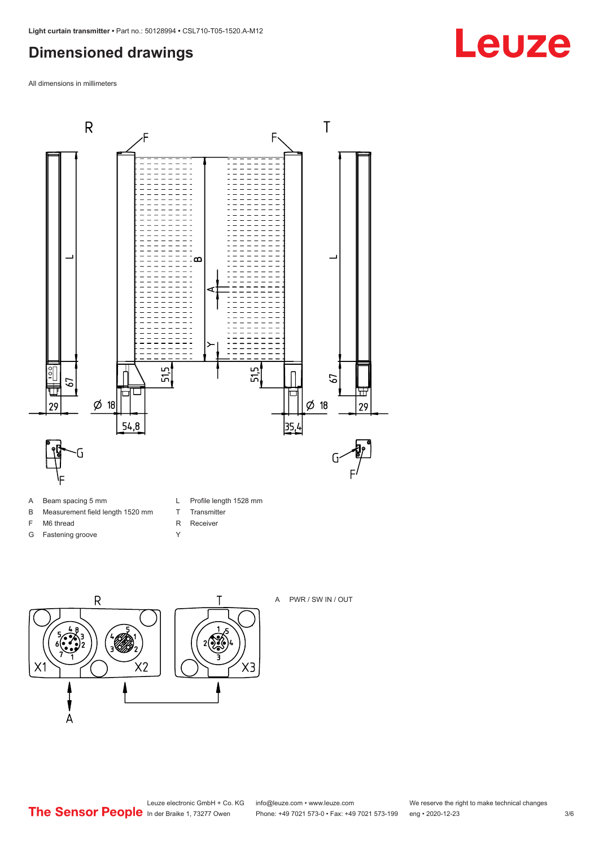## <span id="page-2-0"></span>**Dimensioned drawings**

All dimensions in millimeters



- A Beam spacing 5 mm
- B Measurement field length 1520 mm
- F M6 thread
- G Fastening groove
- L Profile length 1528 mm
- T Transmitter
- R Receiver
- Y





A PWR / SW IN / OUT

**Leuze**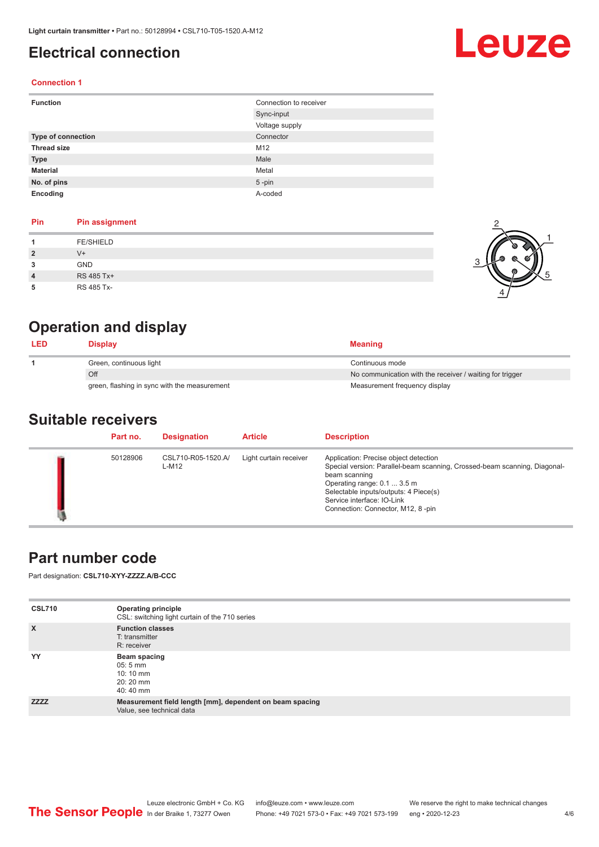## <span id="page-3-0"></span>**Electrical connection**

# Leuze

2

1

5

### **Connection 1**

| <b>Function</b>           | Connection to receiver |
|---------------------------|------------------------|
|                           | Sync-input             |
|                           | Voltage supply         |
| <b>Type of connection</b> | Connector              |
| <b>Thread size</b>        | M12                    |
| <b>Type</b>               | Male                   |
| <b>Material</b>           | Metal                  |
| No. of pins               | $5$ -pin               |
| Encoding                  | A-coded                |

### **Pin Pin assignment**

|   | <b>FE/SHIELD</b> | o |
|---|------------------|---|
| 2 | $V^+$            |   |
| 3 | GND              |   |
| 4 | RS 485 Tx+       | ത |
| 5 | RS 485 Tx-       |   |

## **Operation and display**

| <b>LED</b> | <b>Display</b>                               | <b>Meaning</b>                                           |
|------------|----------------------------------------------|----------------------------------------------------------|
|            | Green, continuous light                      | Continuous mode                                          |
|            | Off                                          | No communication with the receiver / waiting for trigger |
|            | green, flashing in sync with the measurement | Measurement frequency display                            |

### **Suitable receivers**

| Part no. | <b>Designation</b>          | <b>Article</b>         | <b>Description</b>                                                                                                                                                                                                                                                             |
|----------|-----------------------------|------------------------|--------------------------------------------------------------------------------------------------------------------------------------------------------------------------------------------------------------------------------------------------------------------------------|
| 50128906 | CSL710-R05-1520.A/<br>L-M12 | Light curtain receiver | Application: Precise object detection<br>Special version: Parallel-beam scanning, Crossed-beam scanning, Diagonal-<br>beam scanning<br>Operating range: 0.1  3.5 m<br>Selectable inputs/outputs: 4 Piece(s)<br>Service interface: IO-Link<br>Connection: Connector, M12, 8-pin |

## **Part number code**

Part designation: **CSL710-XYY-ZZZZ.A/B-CCC**

| <b>CSL710</b> | <b>Operating principle</b><br>CSL: switching light curtain of the 710 series          |
|---------------|---------------------------------------------------------------------------------------|
| $\mathsf{x}$  | <b>Function classes</b><br>T: transmitter<br>R: receiver                              |
| YY            | Beam spacing<br>$05:5 \, \text{mm}$<br>$10:10 \, \text{mm}$<br>$20:20$ mm<br>40:40 mm |
| <b>ZZZZ</b>   | Measurement field length [mm], dependent on beam spacing<br>Value, see technical data |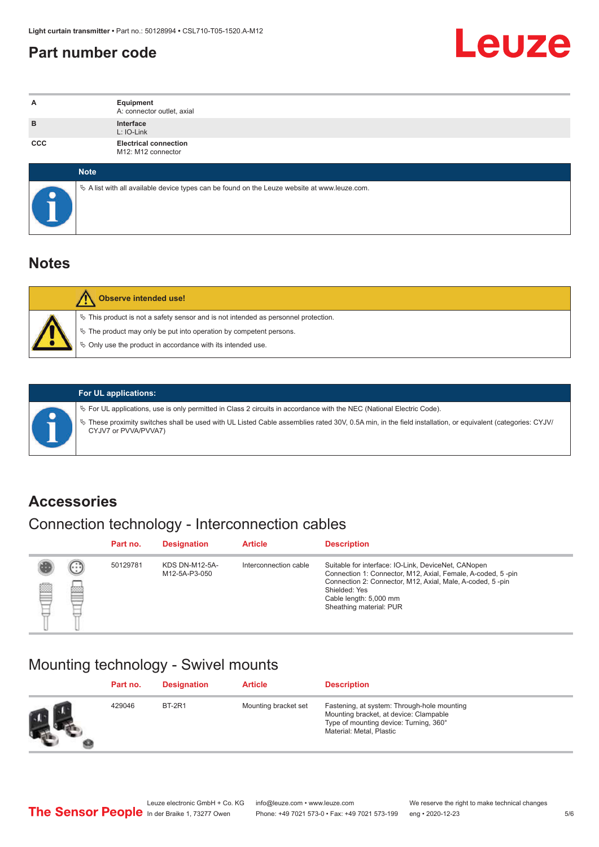## <span id="page-4-0"></span>**Part number code**



| A          | Equipment<br>A: connector outlet, axial                                                         |  |  |  |
|------------|-------------------------------------------------------------------------------------------------|--|--|--|
| B          | Interface<br>L: IO-Link                                                                         |  |  |  |
| <b>CCC</b> | <b>Electrical connection</b><br>M12: M12 connector                                              |  |  |  |
|            | <b>Note</b>                                                                                     |  |  |  |
|            | $\&$ A list with all available device types can be found on the Leuze website at www.leuze.com. |  |  |  |

## **Notes**

| <b>Observe intended use!</b>                                                                                                                                                                                                     |
|----------------------------------------------------------------------------------------------------------------------------------------------------------------------------------------------------------------------------------|
| $\%$ This product is not a safety sensor and is not intended as personnel protection.<br>$\&$ The product may only be put into operation by competent persons.<br>$\%$ Only use the product in accordance with its intended use. |

ª These proximity switches shall be used with UL Listed Cable assemblies rated 30V, 0.5A min, in the field installation, or equivalent (categories: CYJV/

ª For UL applications, use is only permitted in Class 2 circuits in accordance with the NEC (National Electric Code).

**For UL applications:**

CYJV7 or PVVA/PVVA7)

**Accessories**

## Connection technology - Interconnection cables

|   |          | Part no. | <b>Designation</b>                     | <b>Article</b>        | <b>Description</b>                                                                                                                                                                                                                                    |
|---|----------|----------|----------------------------------------|-----------------------|-------------------------------------------------------------------------------------------------------------------------------------------------------------------------------------------------------------------------------------------------------|
| ø | (።)<br>ᢁ | 50129781 | <b>KDS DN-M12-5A-</b><br>M12-5A-P3-050 | Interconnection cable | Suitable for interface: IO-Link, DeviceNet, CANopen<br>Connection 1: Connector, M12, Axial, Female, A-coded, 5-pin<br>Connection 2: Connector, M12, Axial, Male, A-coded, 5-pin<br>Shielded: Yes<br>Cable length: 5,000 mm<br>Sheathing material: PUR |

## Mounting technology - Swivel mounts

| Part no. | <b>Designation</b> | <b>Article</b>       | <b>Description</b>                                                                                                                                          |
|----------|--------------------|----------------------|-------------------------------------------------------------------------------------------------------------------------------------------------------------|
| 429046   | <b>BT-2R1</b>      | Mounting bracket set | Fastening, at system: Through-hole mounting<br>Mounting bracket, at device: Clampable<br>Type of mounting device: Turning, 360°<br>Material: Metal, Plastic |